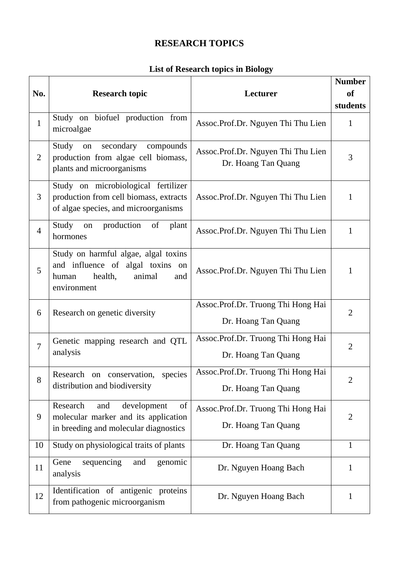## **RESEARCH TOPICS**

## **List of Research topics in Biology**

|                |                                                                                                                              |                                                           | <b>Number</b>            |
|----------------|------------------------------------------------------------------------------------------------------------------------------|-----------------------------------------------------------|--------------------------|
|                |                                                                                                                              |                                                           | <b>of</b>                |
| No.            | <b>Research topic</b>                                                                                                        | Lecturer                                                  |                          |
| $\mathbf{1}$   | Study on biofuel production from<br>microalgae                                                                               | Assoc.Prof.Dr. Nguyen Thi Thu Lien                        | students<br>$\mathbf{1}$ |
| $\overline{2}$ | Study<br>secondary<br>compounds<br>on<br>production from algae cell biomass,<br>plants and microorganisms                    | Assoc.Prof.Dr. Nguyen Thi Thu Lien<br>Dr. Hoang Tan Quang | 3                        |
| 3              | Study on microbiological fertilizer<br>production from cell biomass, extracts<br>of algae species, and microorganisms        | Assoc.Prof.Dr. Nguyen Thi Thu Lien                        | 1                        |
| $\overline{4}$ | production of<br>Study on<br>plant<br>hormones                                                                               | Assoc.Prof.Dr. Nguyen Thi Thu Lien                        | $\mathbf{1}$             |
| 5              | Study on harmful algae, algal toxins<br>and influence of algal toxins on<br>health,<br>human<br>animal<br>and<br>environment | Assoc.Prof.Dr. Nguyen Thi Thu Lien                        | 1                        |
| 6              | Research on genetic diversity                                                                                                | Assoc.Prof.Dr. Truong Thi Hong Hai<br>Dr. Hoang Tan Quang | $\overline{2}$           |
| $\overline{7}$ | Genetic mapping research and QTL<br>analysis                                                                                 | Assoc.Prof.Dr. Truong Thi Hong Hai<br>Dr. Hoang Tan Quang | $\overline{2}$           |
| 8              | Research on conservation, species<br>distribution and biodiversity                                                           | Assoc.Prof.Dr. Truong Thi Hong Hai<br>Dr. Hoang Tan Quang | $\overline{2}$           |
| 9              | Research<br>development<br>and<br>of<br>molecular marker and its application<br>in breeding and molecular diagnostics        | Assoc.Prof.Dr. Truong Thi Hong Hai<br>Dr. Hoang Tan Quang | $\overline{2}$           |
| 10             | Study on physiological traits of plants                                                                                      | Dr. Hoang Tan Quang                                       | 1                        |
| 11             | sequencing<br>Gene<br>and<br>genomic<br>analysis                                                                             | Dr. Nguyen Hoang Bach                                     | 1                        |
| 12             | Identification of antigenic proteins<br>from pathogenic microorganism                                                        | Dr. Nguyen Hoang Bach                                     | 1                        |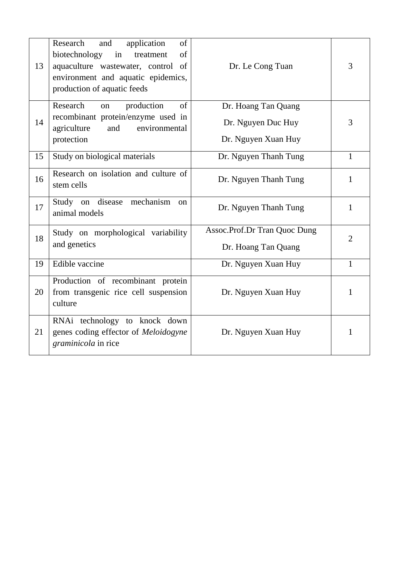| 13 | Research<br>application<br>of<br>and<br>biotechnology<br>of<br>in<br>treatment<br>aquaculture wastewater, control<br>of<br>environment and aquatic epidemics,<br>production of aquatic feeds | Dr. Le Cong Tuan                                                 | 3              |
|----|----------------------------------------------------------------------------------------------------------------------------------------------------------------------------------------------|------------------------------------------------------------------|----------------|
| 14 | Research<br>production<br>of<br>on<br>recombinant protein/enzyme used in<br>agriculture<br>environmental<br>and<br>protection                                                                | Dr. Hoang Tan Quang<br>Dr. Nguyen Duc Huy<br>Dr. Nguyen Xuan Huy | 3              |
| 15 | Study on biological materials                                                                                                                                                                | Dr. Nguyen Thanh Tung                                            | $\mathbf{1}$   |
| 16 | Research on isolation and culture of<br>stem cells                                                                                                                                           | Dr. Nguyen Thanh Tung                                            | $\mathbf{1}$   |
| 17 | Study on disease<br>mechanism<br><sub>on</sub><br>animal models                                                                                                                              | Dr. Nguyen Thanh Tung                                            | $\mathbf{1}$   |
| 18 | Study on morphological variability<br>and genetics                                                                                                                                           | Assoc.Prof.Dr Tran Quoc Dung<br>Dr. Hoang Tan Quang              | $\overline{2}$ |
| 19 | Edible vaccine                                                                                                                                                                               | Dr. Nguyen Xuan Huy                                              | $\mathbf{1}$   |
| 20 | Production of recombinant protein<br>from transgenic rice cell suspension<br>culture                                                                                                         | Dr. Nguyen Xuan Huy                                              | 1              |
| 21 | RNAi technology to knock down<br>genes coding effector of Meloidogyne<br>graminicola in rice                                                                                                 | Dr. Nguyen Xuan Huy                                              | 1              |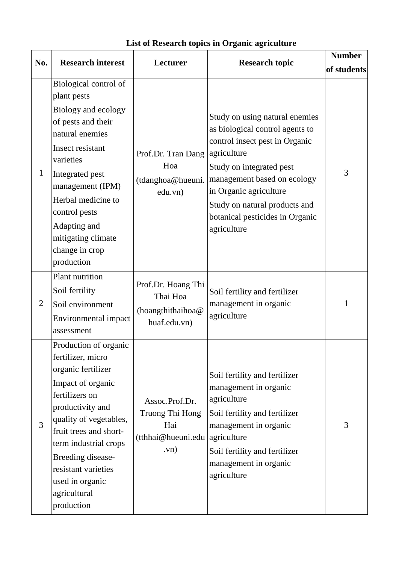| List of Research topics in Organic agriculture |  |  |  |
|------------------------------------------------|--|--|--|
|------------------------------------------------|--|--|--|

| No.            | <b>Research interest</b>                                                                                                                                                                                                                                                                              | Lecturer                                                               |                                                                                                                                                                                                                                                                                            | <b>Number</b> |
|----------------|-------------------------------------------------------------------------------------------------------------------------------------------------------------------------------------------------------------------------------------------------------------------------------------------------------|------------------------------------------------------------------------|--------------------------------------------------------------------------------------------------------------------------------------------------------------------------------------------------------------------------------------------------------------------------------------------|---------------|
|                | <b>Research topic</b>                                                                                                                                                                                                                                                                                 |                                                                        |                                                                                                                                                                                                                                                                                            | of students   |
| $\mathbf{1}$   | Biological control of<br>plant pests<br>Biology and ecology<br>of pests and their<br>natural enemies<br>Insect resistant<br>varieties<br>Integrated pest<br>management (IPM)<br>Herbal medicine to<br>control pests<br>Adapting and<br>mitigating climate<br>change in crop<br>production             | Prof.Dr. Tran Dang<br>Hoa<br>(tdanghoa@hueuni.<br>edu.vn)              | Study on using natural enemies<br>as biological control agents to<br>control insect pest in Organic<br>agriculture<br>Study on integrated pest<br>management based on ecology<br>in Organic agriculture<br>Study on natural products and<br>botanical pesticides in Organic<br>agriculture | 3             |
| $\overline{2}$ | Plant nutrition<br>Soil fertility<br>Soil environment<br>Environmental impact<br>assessment                                                                                                                                                                                                           | Prof.Dr. Hoang Thi<br>Thai Hoa<br>(hoangthithaihoa@<br>huaf.edu.vn)    | Soil fertility and fertilizer<br>management in organic<br>agriculture                                                                                                                                                                                                                      | 1             |
| 3              | Production of organic<br>fertilizer, micro<br>organic fertilizer<br>Impact of organic<br>fertilizers on<br>productivity and<br>quality of vegetables,<br>fruit trees and short-<br>term industrial crops<br>Breeding disease-<br>resistant varieties<br>used in organic<br>agricultural<br>production | Assoc.Prof.Dr.<br>Truong Thi Hong<br>Hai<br>(tthhai@hueuni.edu<br>(vn) | Soil fertility and fertilizer<br>management in organic<br>agriculture<br>Soil fertility and fertilizer<br>management in organic<br>agriculture<br>Soil fertility and fertilizer<br>management in organic<br>agriculture                                                                    | 3             |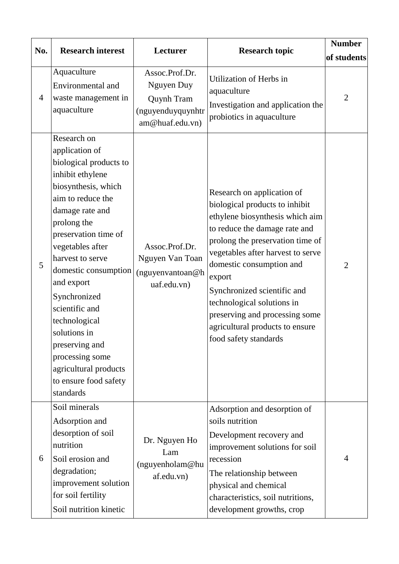| No.            | <b>Research interest</b>                                                                                                                                                                                                                                                                                                                                                                                                               | Lecturer                                                                                  | <b>Research topic</b>                                                                                                                                                                                                                                                                                                                                                                                      | <b>Number</b><br>of students |
|----------------|----------------------------------------------------------------------------------------------------------------------------------------------------------------------------------------------------------------------------------------------------------------------------------------------------------------------------------------------------------------------------------------------------------------------------------------|-------------------------------------------------------------------------------------------|------------------------------------------------------------------------------------------------------------------------------------------------------------------------------------------------------------------------------------------------------------------------------------------------------------------------------------------------------------------------------------------------------------|------------------------------|
| $\overline{4}$ | Aquaculture<br>Environmental and<br>waste management in<br>aquaculture                                                                                                                                                                                                                                                                                                                                                                 | Assoc.Prof.Dr.<br>Nguyen Duy<br><b>Quynh Tram</b><br>(nguyenduyquynhtr<br>am@huaf.edu.vn) | Utilization of Herbs in<br>aquaculture<br>Investigation and application the<br>probiotics in aquaculture                                                                                                                                                                                                                                                                                                   | $\overline{2}$               |
| 5              | Research on<br>application of<br>biological products to<br>inhibit ethylene<br>biosynthesis, which<br>aim to reduce the<br>damage rate and<br>prolong the<br>preservation time of<br>vegetables after<br>harvest to serve<br>domestic consumption<br>and export<br>Synchronized<br>scientific and<br>technological<br>solutions in<br>preserving and<br>processing some<br>agricultural products<br>to ensure food safety<br>standards | Assoc.Prof.Dr.<br>Nguyen Van Toan<br>(nguyenvantoan@h<br>uaf.edu.vn)                      | Research on application of<br>biological products to inhibit<br>ethylene biosynthesis which aim<br>to reduce the damage rate and<br>prolong the preservation time of<br>vegetables after harvest to serve<br>domestic consumption and<br>export<br>Synchronized scientific and<br>technological solutions in<br>preserving and processing some<br>agricultural products to ensure<br>food safety standards | $\overline{2}$               |
| 6              | Soil minerals<br>Adsorption and<br>desorption of soil<br>nutrition<br>Soil erosion and<br>degradation;<br>improvement solution<br>for soil fertility<br>Soil nutrition kinetic                                                                                                                                                                                                                                                         | Dr. Nguyen Ho<br>Lam<br>(nguyenholam@hu<br>af.edu.vn)                                     | Adsorption and desorption of<br>soils nutrition<br>Development recovery and<br>improvement solutions for soil<br>recession<br>The relationship between<br>physical and chemical<br>characteristics, soil nutritions,<br>development growths, crop                                                                                                                                                          | 4                            |